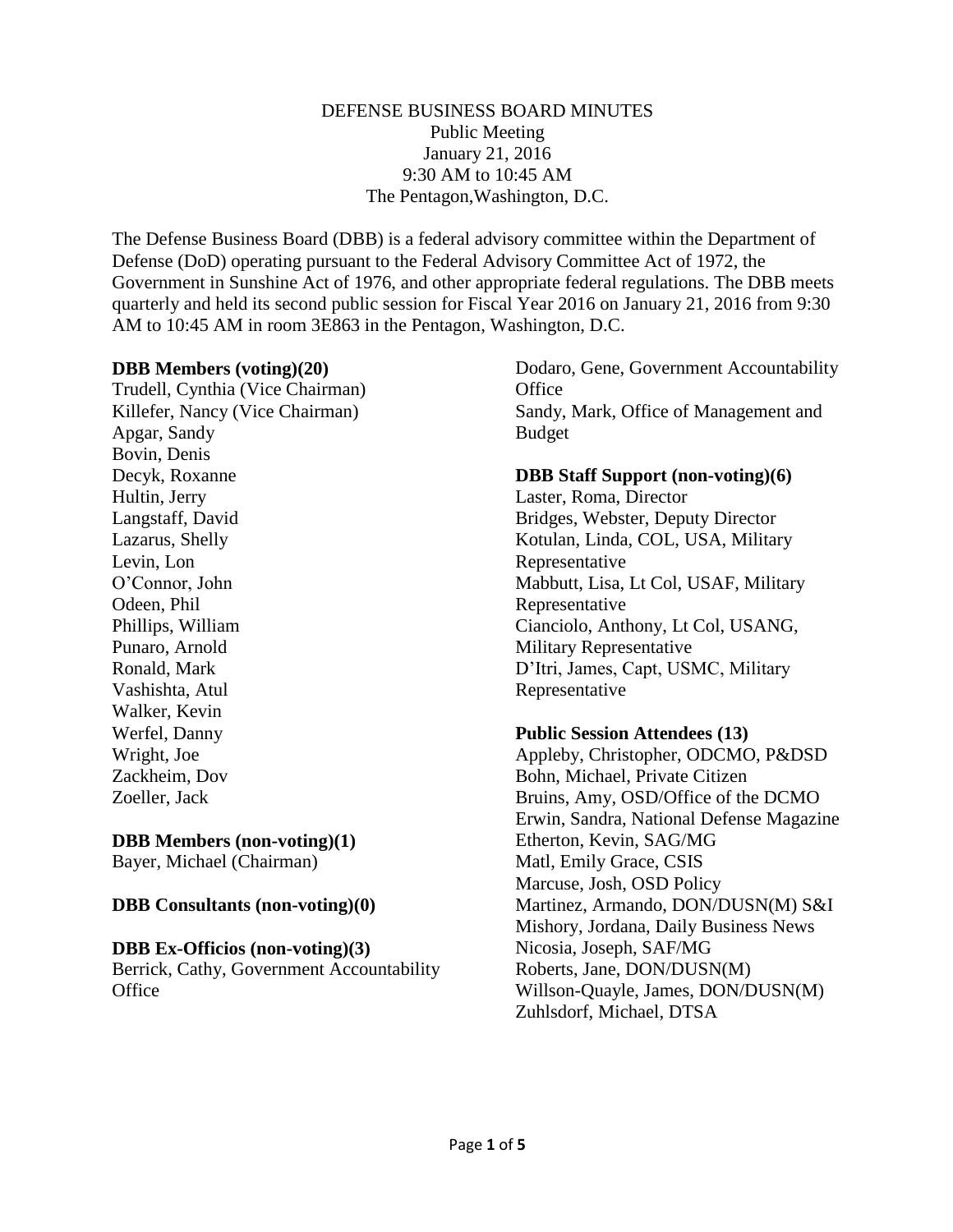#### DEFENSE BUSINESS BOARD MINUTES Public Meeting January 21, 2016 9:30 AM to 10:45 AM The Pentagon,Washington, D.C.

The Defense Business Board (DBB) is a federal advisory committee within the Department of Defense (DoD) operating pursuant to the Federal Advisory Committee Act of 1972, the Government in Sunshine Act of 1976, and other appropriate federal regulations. The DBB meets quarterly and held its second public session for Fiscal Year 2016 on January 21, 2016 from 9:30 AM to 10:45 AM in room 3E863 in the Pentagon, Washington, D.C.

#### **DBB Members (voting)(20)**

Trudell, Cynthia (Vice Chairman) Killefer, Nancy (Vice Chairman) Apgar, Sandy Bovin, Denis Decyk, Roxanne Hultin, Jerry Langstaff, David Lazarus, Shelly Levin, Lon O'Connor, John Odeen, Phil Phillips, William Punaro, Arnold Ronald, Mark Vashishta, Atul Walker, Kevin Werfel, Danny Wright, Joe Zackheim, Dov Zoeller, Jack

### **DBB Members (non-voting)(1)**

Bayer, Michael (Chairman)

### **DBB Consultants (non-voting)(0)**

### **DBB Ex-Officios (non-voting)(3)**

Berrick, Cathy, Government Accountability **Office** 

Dodaro, Gene, Government Accountability **Office** Sandy, Mark, Office of Management and Budget

# **DBB Staff Support (non-voting)(6)**

Laster, Roma, Director Bridges, Webster, Deputy Director Kotulan, Linda, COL, USA, Military Representative Mabbutt, Lisa, Lt Col, USAF, Military Representative Cianciolo, Anthony, Lt Col, USANG, Military Representative D'Itri, James, Capt, USMC, Military Representative

### **Public Session Attendees (13)**

Appleby, Christopher, ODCMO, P&DSD Bohn, Michael, Private Citizen Bruins, Amy, OSD/Office of the DCMO Erwin, Sandra, National Defense Magazine Etherton, Kevin, SAG/MG Matl, Emily Grace, CSIS Marcuse, Josh, OSD Policy Martinez, Armando, DON/DUSN(M) S&I Mishory, Jordana, Daily Business News Nicosia, Joseph, SAF/MG Roberts, Jane, DON/DUSN(M) Willson-Quayle, James, DON/DUSN(M) Zuhlsdorf, Michael, DTSA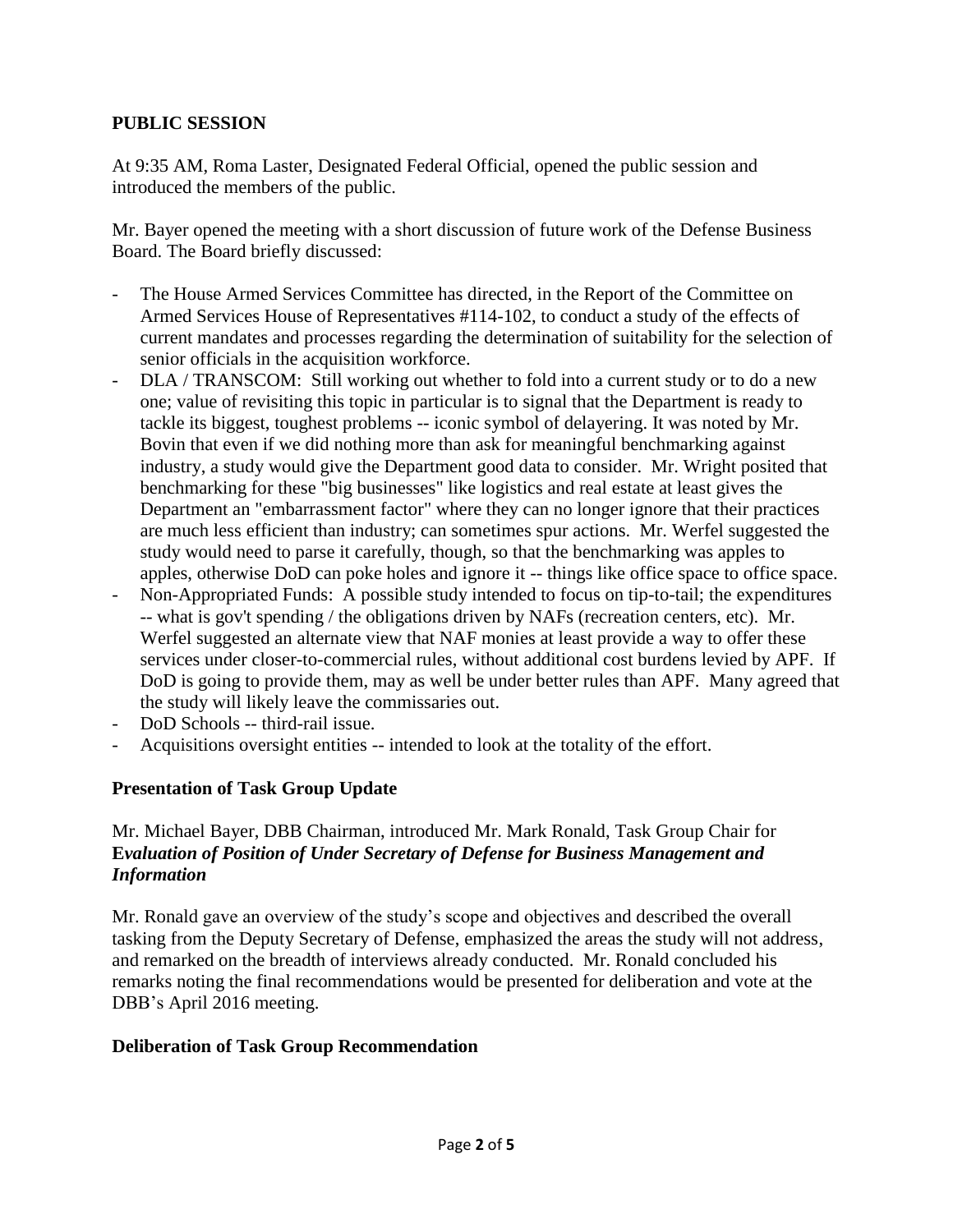### **PUBLIC SESSION**

At 9:35 AM, Roma Laster, Designated Federal Official, opened the public session and introduced the members of the public.

Mr. Bayer opened the meeting with a short discussion of future work of the Defense Business Board. The Board briefly discussed:

- The House Armed Services Committee has directed, in the Report of the Committee on Armed Services House of Representatives #114-102, to conduct a study of the effects of current mandates and processes regarding the determination of suitability for the selection of senior officials in the acquisition workforce.
- DLA / TRANSCOM: Still working out whether to fold into a current study or to do a new one; value of revisiting this topic in particular is to signal that the Department is ready to tackle its biggest, toughest problems -- iconic symbol of delayering. It was noted by Mr. Bovin that even if we did nothing more than ask for meaningful benchmarking against industry, a study would give the Department good data to consider. Mr. Wright posited that benchmarking for these "big businesses" like logistics and real estate at least gives the Department an "embarrassment factor" where they can no longer ignore that their practices are much less efficient than industry; can sometimes spur actions. Mr. Werfel suggested the study would need to parse it carefully, though, so that the benchmarking was apples to apples, otherwise DoD can poke holes and ignore it -- things like office space to office space.
- Non-Appropriated Funds: A possible study intended to focus on tip-to-tail; the expenditures -- what is gov't spending / the obligations driven by NAFs (recreation centers, etc). Mr. Werfel suggested an alternate view that NAF monies at least provide a way to offer these services under closer-to-commercial rules, without additional cost burdens levied by APF. If DoD is going to provide them, may as well be under better rules than APF. Many agreed that the study will likely leave the commissaries out.
- DoD Schools -- third-rail issue.
- Acquisitions oversight entities -- intended to look at the totality of the effort.

# **Presentation of Task Group Update**

# Mr. Michael Bayer, DBB Chairman, introduced Mr. Mark Ronald, Task Group Chair for **E***valuation of Position of Under Secretary of Defense for Business Management and Information*

Mr. Ronald gave an overview of the study's scope and objectives and described the overall tasking from the Deputy Secretary of Defense, emphasized the areas the study will not address, and remarked on the breadth of interviews already conducted. Mr. Ronald concluded his remarks noting the final recommendations would be presented for deliberation and vote at the DBB's April 2016 meeting.

### **Deliberation of Task Group Recommendation**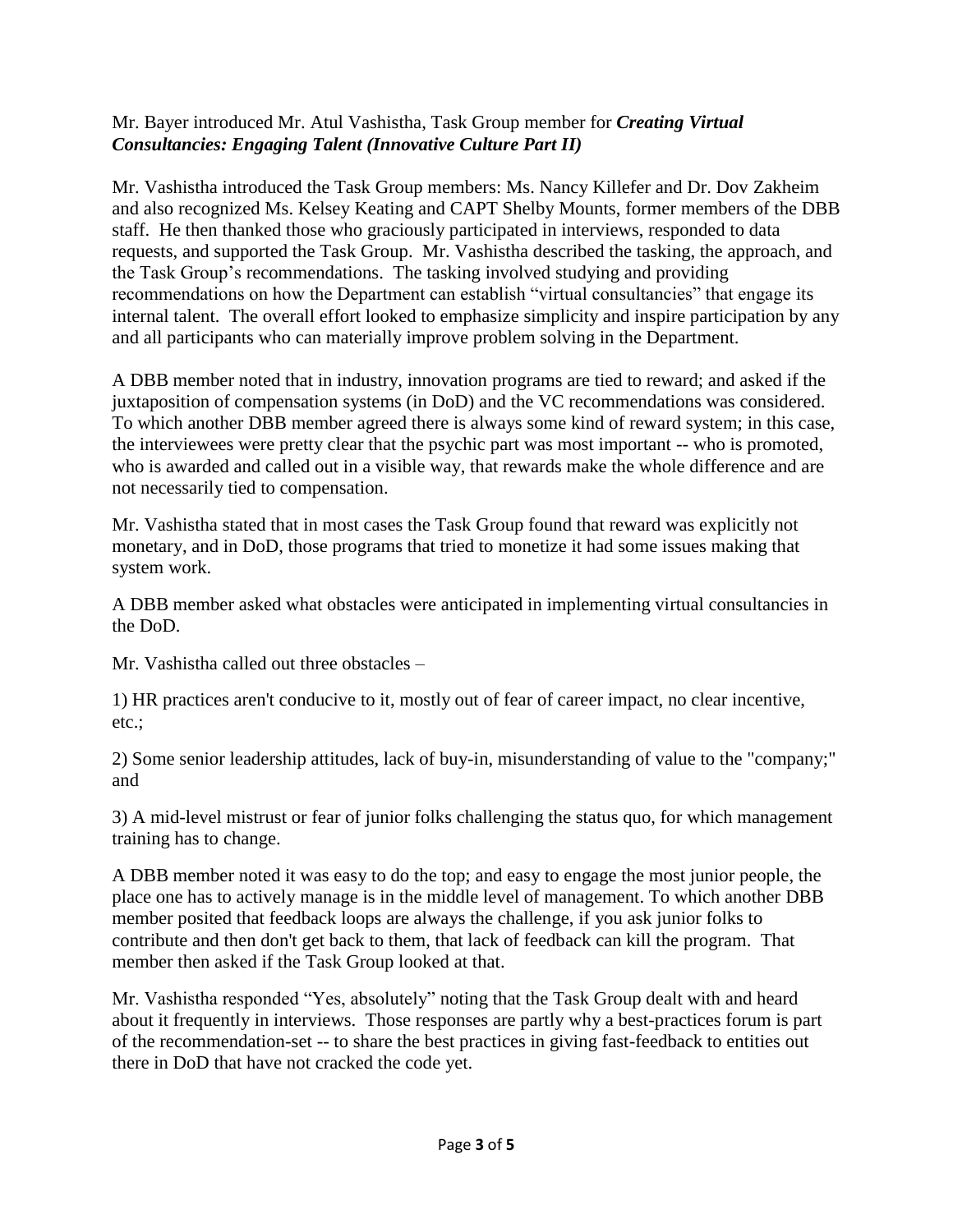## Mr. Bayer introduced Mr. Atul Vashistha, Task Group member for *Creating Virtual Consultancies: Engaging Talent (Innovative Culture Part II)*

Mr. Vashistha introduced the Task Group members: Ms. Nancy Killefer and Dr. Dov Zakheim and also recognized Ms. Kelsey Keating and CAPT Shelby Mounts, former members of the DBB staff. He then thanked those who graciously participated in interviews, responded to data requests, and supported the Task Group. Mr. Vashistha described the tasking, the approach, and the Task Group's recommendations. The tasking involved studying and providing recommendations on how the Department can establish "virtual consultancies" that engage its internal talent. The overall effort looked to emphasize simplicity and inspire participation by any and all participants who can materially improve problem solving in the Department.

A DBB member noted that in industry, innovation programs are tied to reward; and asked if the juxtaposition of compensation systems (in DoD) and the VC recommendations was considered. To which another DBB member agreed there is always some kind of reward system; in this case, the interviewees were pretty clear that the psychic part was most important -- who is promoted, who is awarded and called out in a visible way, that rewards make the whole difference and are not necessarily tied to compensation.

Mr. Vashistha stated that in most cases the Task Group found that reward was explicitly not monetary, and in DoD, those programs that tried to monetize it had some issues making that system work.

A DBB member asked what obstacles were anticipated in implementing virtual consultancies in the DoD.

Mr. Vashistha called out three obstacles –

1) HR practices aren't conducive to it, mostly out of fear of career impact, no clear incentive, etc.;

2) Some senior leadership attitudes, lack of buy-in, misunderstanding of value to the "company;" and

3) A mid-level mistrust or fear of junior folks challenging the status quo, for which management training has to change.

A DBB member noted it was easy to do the top; and easy to engage the most junior people, the place one has to actively manage is in the middle level of management. To which another DBB member posited that feedback loops are always the challenge, if you ask junior folks to contribute and then don't get back to them, that lack of feedback can kill the program. That member then asked if the Task Group looked at that.

Mr. Vashistha responded "Yes, absolutely" noting that the Task Group dealt with and heard about it frequently in interviews. Those responses are partly why a best-practices forum is part of the recommendation-set -- to share the best practices in giving fast-feedback to entities out there in DoD that have not cracked the code yet.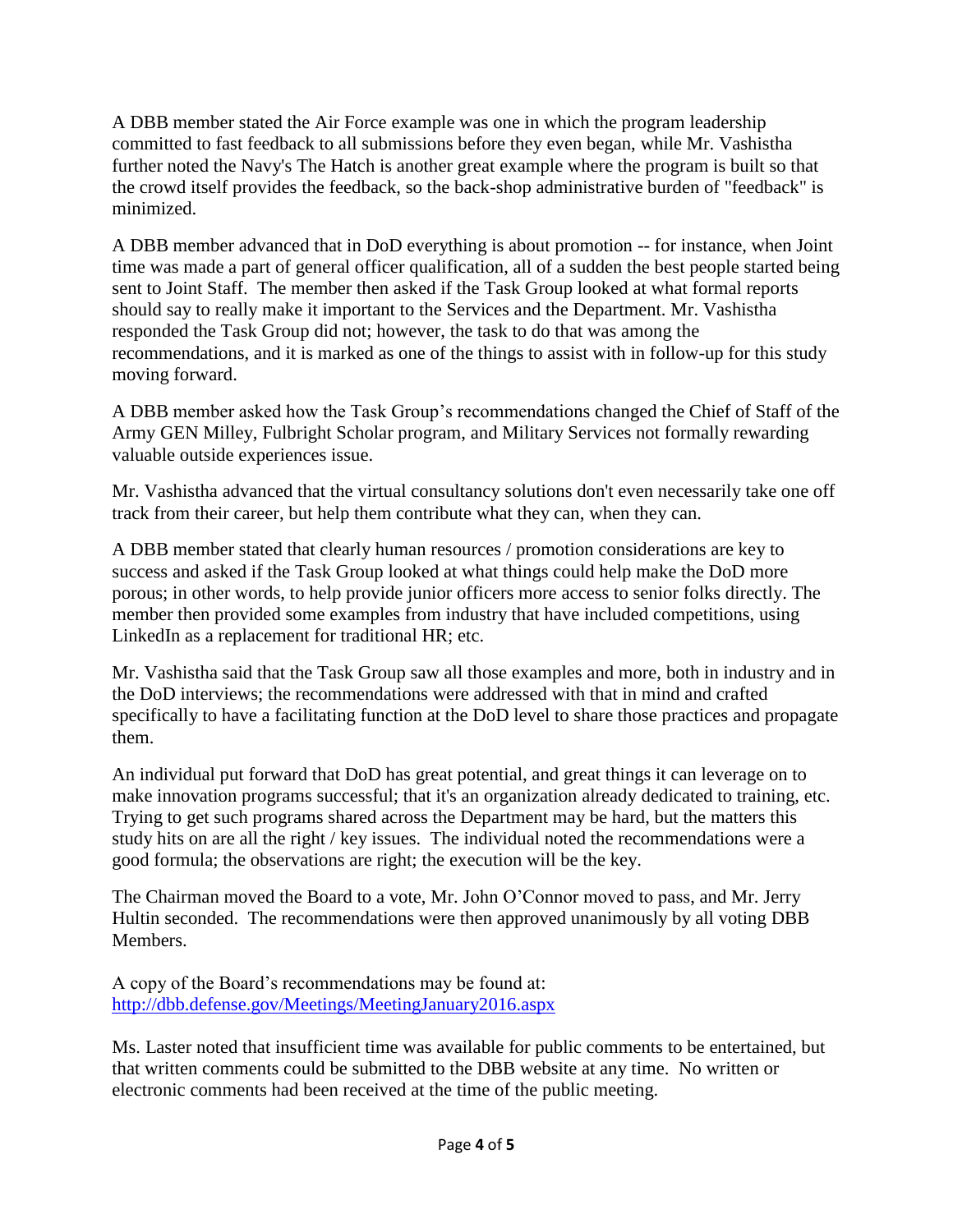A DBB member stated the Air Force example was one in which the program leadership committed to fast feedback to all submissions before they even began, while Mr. Vashistha further noted the Navy's The Hatch is another great example where the program is built so that the crowd itself provides the feedback, so the back-shop administrative burden of "feedback" is minimized.

A DBB member advanced that in DoD everything is about promotion -- for instance, when Joint time was made a part of general officer qualification, all of a sudden the best people started being sent to Joint Staff. The member then asked if the Task Group looked at what formal reports should say to really make it important to the Services and the Department. Mr. Vashistha responded the Task Group did not; however, the task to do that was among the recommendations, and it is marked as one of the things to assist with in follow-up for this study moving forward.

A DBB member asked how the Task Group's recommendations changed the Chief of Staff of the Army GEN Milley, Fulbright Scholar program, and Military Services not formally rewarding valuable outside experiences issue.

Mr. Vashistha advanced that the virtual consultancy solutions don't even necessarily take one off track from their career, but help them contribute what they can, when they can.

A DBB member stated that clearly human resources / promotion considerations are key to success and asked if the Task Group looked at what things could help make the DoD more porous; in other words, to help provide junior officers more access to senior folks directly. The member then provided some examples from industry that have included competitions, using LinkedIn as a replacement for traditional HR; etc.

Mr. Vashistha said that the Task Group saw all those examples and more, both in industry and in the DoD interviews; the recommendations were addressed with that in mind and crafted specifically to have a facilitating function at the DoD level to share those practices and propagate them.

An individual put forward that DoD has great potential, and great things it can leverage on to make innovation programs successful; that it's an organization already dedicated to training, etc. Trying to get such programs shared across the Department may be hard, but the matters this study hits on are all the right / key issues. The individual noted the recommendations were a good formula; the observations are right; the execution will be the key.

The Chairman moved the Board to a vote, Mr. John O'Connor moved to pass, and Mr. Jerry Hultin seconded. The recommendations were then approved unanimously by all voting DBB Members.

A copy of the Board's recommendations may be found at: <http://dbb.defense.gov/Meetings/MeetingJanuary2016.aspx>

Ms. Laster noted that insufficient time was available for public comments to be entertained, but that written comments could be submitted to the DBB website at any time. No written or electronic comments had been received at the time of the public meeting.